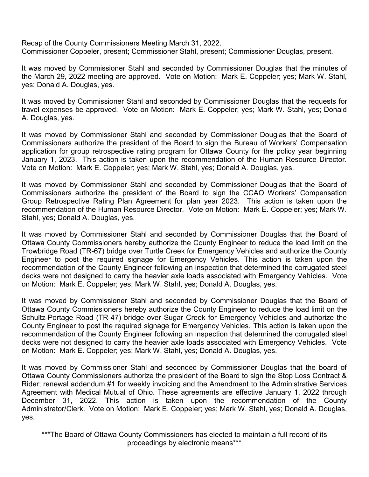Recap of the County Commissioners Meeting March 31, 2022. Commissioner Coppeler, present; Commissioner Stahl, present; Commissioner Douglas, present.

It was moved by Commissioner Stahl and seconded by Commissioner Douglas that the minutes of the March 29, 2022 meeting are approved. Vote on Motion: Mark E. Coppeler; yes; Mark W. Stahl, yes; Donald A. Douglas, yes.

It was moved by Commissioner Stahl and seconded by Commissioner Douglas that the requests for travel expenses be approved. Vote on Motion: Mark E. Coppeler; yes; Mark W. Stahl, yes; Donald A. Douglas, yes.

It was moved by Commissioner Stahl and seconded by Commissioner Douglas that the Board of Commissioners authorize the president of the Board to sign the Bureau of Workers' Compensation application for group retrospective rating program for Ottawa County for the policy year beginning January 1, 2023. This action is taken upon the recommendation of the Human Resource Director. Vote on Motion: Mark E. Coppeler; yes; Mark W. Stahl, yes; Donald A. Douglas, yes.

It was moved by Commissioner Stahl and seconded by Commissioner Douglas that the Board of Commissioners authorize the president of the Board to sign the CCAO Workers' Compensation Group Retrospective Rating Plan Agreement for plan year 2023. This action is taken upon the recommendation of the Human Resource Director. Vote on Motion: Mark E. Coppeler; yes; Mark W. Stahl, yes; Donald A. Douglas, yes.

It was moved by Commissioner Stahl and seconded by Commissioner Douglas that the Board of Ottawa County Commissioners hereby authorize the County Engineer to reduce the load limit on the Trowbridge Road (TR-67) bridge over Turtle Creek for Emergency Vehicles and authorize the County Engineer to post the required signage for Emergency Vehicles. This action is taken upon the recommendation of the County Engineer following an inspection that determined the corrugated steel decks were not designed to carry the heavier axle loads associated with Emergency Vehicles. Vote on Motion: Mark E. Coppeler; yes; Mark W. Stahl, yes; Donald A. Douglas, yes.

It was moved by Commissioner Stahl and seconded by Commissioner Douglas that the Board of Ottawa County Commissioners hereby authorize the County Engineer to reduce the load limit on the Schultz-Portage Road (TR-47) bridge over Sugar Creek for Emergency Vehicles and authorize the County Engineer to post the required signage for Emergency Vehicles. This action is taken upon the recommendation of the County Engineer following an inspection that determined the corrugated steel decks were not designed to carry the heavier axle loads associated with Emergency Vehicles. Vote on Motion: Mark E. Coppeler; yes; Mark W. Stahl, yes; Donald A. Douglas, yes.

It was moved by Commissioner Stahl and seconded by Commissioner Douglas that the board of Ottawa County Commissioners authorize the president of the Board to sign the Stop Loss Contract & Rider; renewal addendum #1 for weekly invoicing and the Amendment to the Administrative Services Agreement with Medical Mutual of Ohio. These agreements are effective January 1, 2022 through December 31, 2022. This action is taken upon the recommendation of the County Administrator/Clerk. Vote on Motion: Mark E. Coppeler; yes; Mark W. Stahl, yes; Donald A. Douglas, yes.

\*\*\*The Board of Ottawa County Commissioners has elected to maintain a full record of its proceedings by electronic means\*\*\*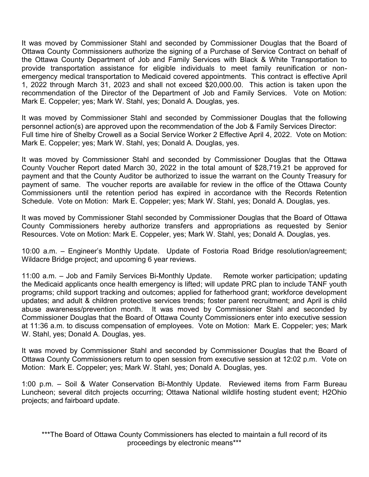It was moved by Commissioner Stahl and seconded by Commissioner Douglas that the Board of Ottawa County Commissioners authorize the signing of a Purchase of Service Contract on behalf of the Ottawa County Department of Job and Family Services with Black & White Transportation to provide transportation assistance for eligible individuals to meet family reunification or nonemergency medical transportation to Medicaid covered appointments. This contract is effective April 1, 2022 through March 31, 2023 and shall not exceed \$20,000.00. This action is taken upon the recommendation of the Director of the Department of Job and Family Services. Vote on Motion: Mark E. Coppeler; yes; Mark W. Stahl, yes; Donald A. Douglas, yes.

It was moved by Commissioner Stahl and seconded by Commissioner Douglas that the following personnel action(s) are approved upon the recommendation of the Job & Family Services Director: Full time hire of Shelby Crowell as a Social Service Worker 2 Effective April 4, 2022. Vote on Motion: Mark E. Coppeler; yes; Mark W. Stahl, yes; Donald A. Douglas, yes.

It was moved by Commissioner Stahl and seconded by Commissioner Douglas that the Ottawa County Voucher Report dated March 30, 2022 in the total amount of \$28,719.21 be approved for payment and that the County Auditor be authorized to issue the warrant on the County Treasury for payment of same. The voucher reports are available for review in the office of the Ottawa County Commissioners until the retention period has expired in accordance with the Records Retention Schedule. Vote on Motion: Mark E. Coppeler; yes; Mark W. Stahl, yes; Donald A. Douglas, yes.

It was moved by Commissioner Stahl seconded by Commissioner Douglas that the Board of Ottawa County Commissioners hereby authorize transfers and appropriations as requested by Senior Resources. Vote on Motion: Mark E. Coppeler, yes; Mark W. Stahl, yes; Donald A. Douglas, yes.

10:00 a.m. – Engineer's Monthly Update. Update of Fostoria Road Bridge resolution/agreement; Wildacre Bridge project; and upcoming 6 year reviews.

11:00 a.m. – Job and Family Services Bi-Monthly Update. Remote worker participation; updating the Medicaid applicants once health emergency is lifted; will update PRC plan to include TANF youth programs; child support tracking and outcomes; applied for fatherhood grant; workforce development updates; and adult & children protective services trends; foster parent recruitment; and April is child abuse awareness/prevention month. It was moved by Commissioner Stahl and seconded by Commissioner Douglas that the Board of Ottawa County Commissioners enter into executive session at 11:36 a.m. to discuss compensation of employees. Vote on Motion: Mark E. Coppeler; yes; Mark W. Stahl, yes; Donald A. Douglas, yes.

It was moved by Commissioner Stahl and seconded by Commissioner Douglas that the Board of Ottawa County Commissioners return to open session from executive session at 12:02 p.m. Vote on Motion: Mark E. Coppeler; yes; Mark W. Stahl, yes; Donald A. Douglas, yes.

1:00 p.m. – Soil & Water Conservation Bi-Monthly Update. Reviewed items from Farm Bureau Luncheon; several ditch projects occurring; Ottawa National wildlife hosting student event; H2Ohio projects; and fairboard update.

\*\*\*The Board of Ottawa County Commissioners has elected to maintain a full record of its proceedings by electronic means\*\*\*